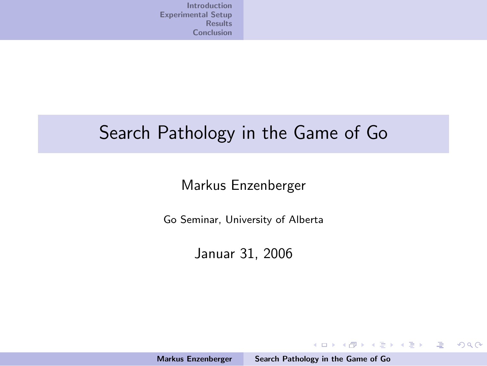## Search Pathology in the Game of Go

### Markus Enzenberger

Go Seminar, University of Alberta

Januar 31, 2006

Markus Enzenberger [Search Pathology in the Game of Go](#page-20-0)

<span id="page-0-0"></span>K ロ ▶ K @ ▶ K 할 > K 할 > 1 할 > 1 이익어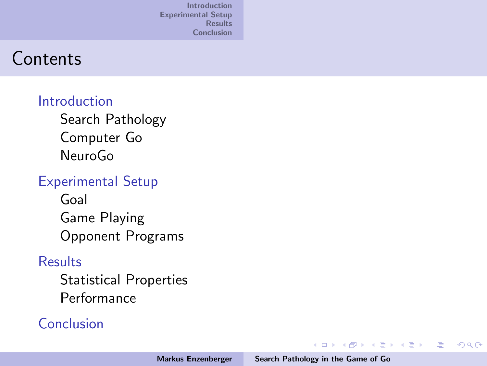## **Contents**

### [Introduction](#page-2-0)

[Search Pathology](#page-2-0) [Computer Go](#page-5-0) [NeuroGo](#page-6-0)

### [Experimental Setup](#page-7-0)

[Goal](#page-7-0) [Game Playing](#page-8-0) [Opponent Programs](#page-9-0)

### [Results](#page-10-0)

[Statistical Properties](#page-10-0) [Performance](#page-18-0)

### [Conclusion](#page-20-0)

イロメ イ部メ イヨメ イヨメー

哇

 $2Q$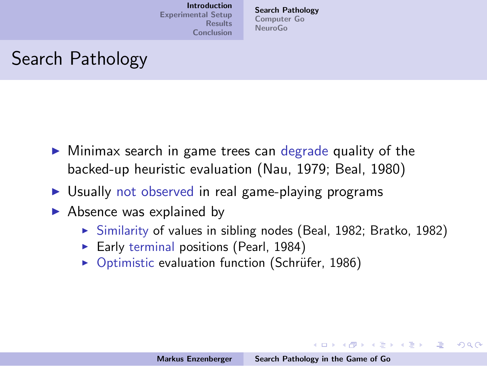[Search Pathology](#page-2-0) [Computer Go](#page-5-0) [NeuroGo](#page-6-0)

# Search Pathology

- $\triangleright$  Minimax search in game trees can degrade quality of the backed-up heuristic evaluation (Nau, 1979; Beal, 1980)
- $\triangleright$  Usually not observed in real game-playing programs
- $\blacktriangleright$  Absence was explained by
	- $\triangleright$  Similarity of values in sibling nodes (Beal, 1982; Bratko, 1982)
	- Early terminal positions (Pearl, 1984)
	- $\triangleright$  Optimistic evaluation function (Schrüfer, 1986)

<span id="page-2-0"></span>イロン イ母ン イミン イモンニ 正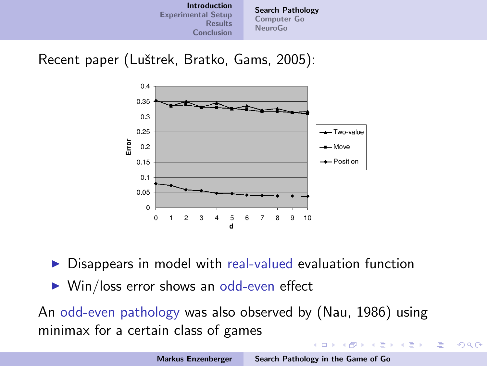

Recent paper (Luštrek, Bratko, Gams, 2005):



Disappears in model with real-valued evaluation function

 $\triangleright$  Win/loss error shows an odd-even effect

An odd-even pathology was also observed by (Nau, 1986) using minimax for a certain class of games

 $(1, 1)$   $(1, 1)$   $(1, 1)$ 

 $\alpha \equiv \alpha$ 

œ.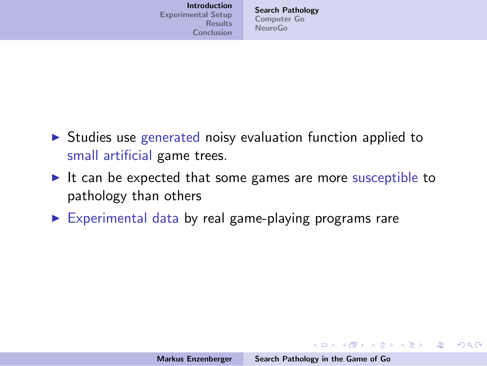| <b>Introduction</b><br><b>Experimental Setup</b><br><b>Results</b><br><b>Conclusion</b> | <b>Search Pathology</b><br>Computer Go<br><b>NeuroGo</b> |
|-----------------------------------------------------------------------------------------|----------------------------------------------------------|
|-----------------------------------------------------------------------------------------|----------------------------------------------------------|

- $\triangleright$  Studies use generated noisy evaluation function applied to small artificial game trees.
- It can be expected that some games are more susceptible to pathology than others
- $\triangleright$  Experimental data by real game-playing programs rare

K ロ ▶ K @ ▶ K 글 ▶ K 글 ▶ → 글 → K) Q Q →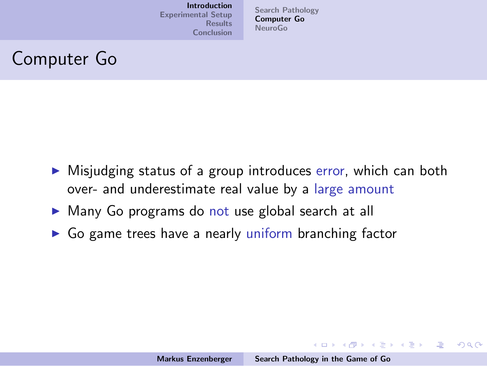[Search Pathology](#page-2-0) [Computer Go](#page-5-0) [NeuroGo](#page-6-0)

# Computer Go

- $\triangleright$  Misjudging status of a group introduces error, which can both over- and underestimate real value by a large amount
- ▶ Many Go programs do not use global search at all
- $\triangleright$  Go game trees have a nearly uniform branching factor

<span id="page-5-0"></span>K ロ ▶ K @ ▶ K 글 ▶ K 글 ▶ │ 글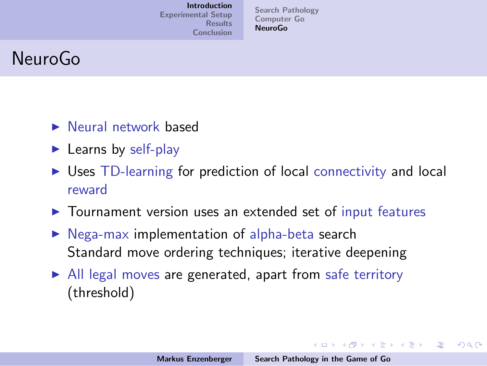[Search Pathology](#page-2-0) [Computer Go](#page-5-0) [NeuroGo](#page-6-0)

# NeuroGo

- $\blacktriangleright$  Neural network based
- $\blacktriangleright$  Learns by self-play
- $\triangleright$  Uses TD-learning for prediction of local connectivity and local reward
- $\triangleright$  Tournament version uses an extended set of input features
- $\triangleright$  Nega-max implementation of alpha-beta search Standard move ordering techniques; iterative deepening
- $\triangleright$  All legal moves are generated, apart from safe territory (threshold)

<span id="page-6-0"></span>イロン イ団ン イミン イモンド 走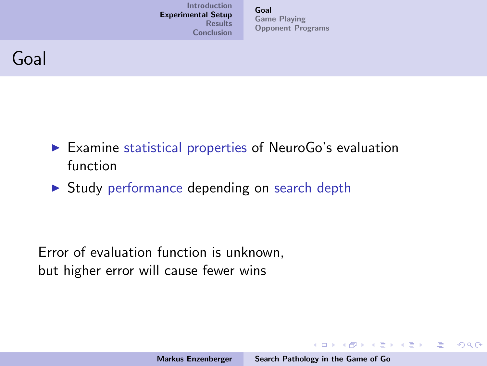[Goal](#page-7-0) [Game Playing](#page-8-0) [Opponent Programs](#page-9-0)

## Goal

- $\triangleright$  Examine statistical properties of NeuroGo's evaluation function
- $\triangleright$  Study performance depending on search depth

Error of evaluation function is unknown, but higher error will cause fewer wins

<span id="page-7-0"></span>K ロ ▶ K @ ▶ K ミ ▶ K ミ ▶ │ ミ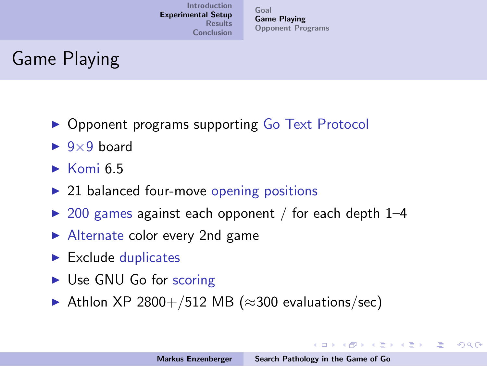[Goal](#page-7-0) [Game Playing](#page-8-0) [Opponent Programs](#page-9-0)

# Game Playing

- ▶ Opponent programs supporting Go Text Protocol
- $\blacktriangleright$  9×9 board
- $\triangleright$  Komi 6.5
- $\triangleright$  21 balanced four-move opening positions
- $\triangleright$  200 games against each opponent / for each depth 1–4
- $\blacktriangleright$  Alternate color every 2nd game
- $\blacktriangleright$  Exclude duplicates
- $\triangleright$  Use GNU Go for scoring
- $\triangleright$  Athlon XP 2800+/512 MB ( $\approx$ 300 evaluations/sec)

<span id="page-8-0"></span>イロン イ母ン イミン イモンニ 正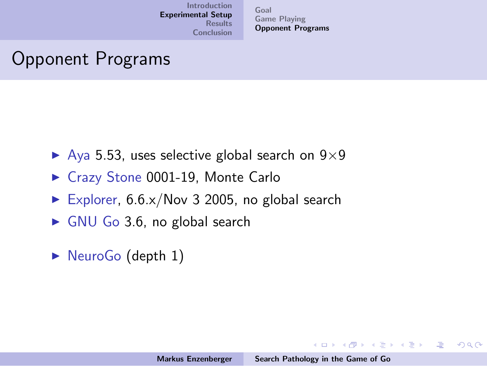[Goal](#page-7-0) [Game Playing](#page-8-0) [Opponent Programs](#page-9-0)

# Opponent Programs

- $\blacktriangleright$  Aya 5.53, uses selective global search on 9×9
- ▶ Crazy Stone 0001-19, Monte Carlo
- Explorer,  $6.6 \times /$ Nov 3 2005, no global search
- $\triangleright$  GNU Go 3.6, no global search
- $\triangleright$  NeuroGo (depth 1)

<span id="page-9-0"></span>イロン イ団ン イミン イモンド 走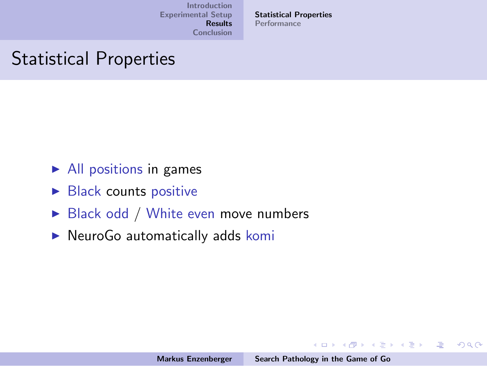[Statistical Properties](#page-10-0) [Performance](#page-18-0)

# Statistical Properties

- $\blacktriangleright$  All positions in games
- $\triangleright$  Black counts positive
- $\triangleright$  Black odd / White even move numbers
- $\triangleright$  NeuroGo automatically adds komi

イロメ イ団メ イモメ イモメー 毛

<span id="page-10-0"></span> $2Q$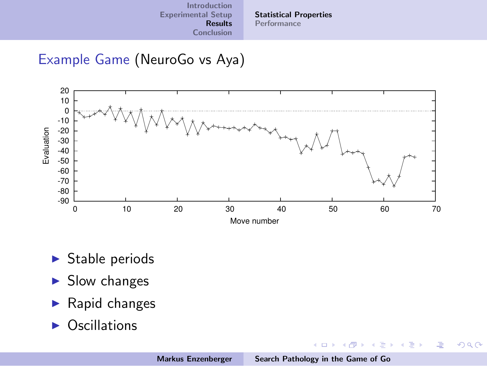[Statistical Properties](#page-10-0) [Performance](#page-18-0)

### Example Game (NeuroGo vs Aya)



- $\blacktriangleright$  Stable periods
- $\blacktriangleright$  Slow changes
- $\blacktriangleright$  Rapid changes
- $\triangleright$  Oscillations

メロメ メ都 メメ きょくきょ

重

 $QQ$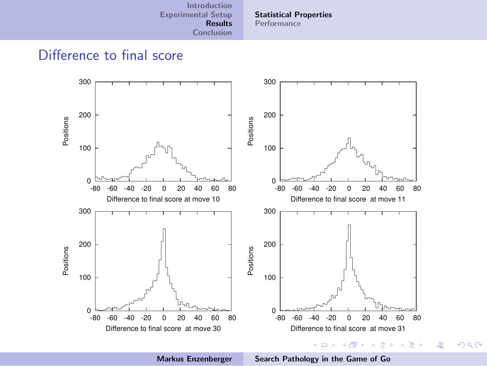[Introduction](#page-2-0) [Experimental Setup](#page-7-0) [Results](#page-10-0)

[Statistical Properties](#page-10-0) [Performance](#page-18-0)

[Conclusion](#page-20-0)

### Difference to final score



Markus Enzenberger [Search Pathology in the Game of Go](#page-0-0)

 $2Q$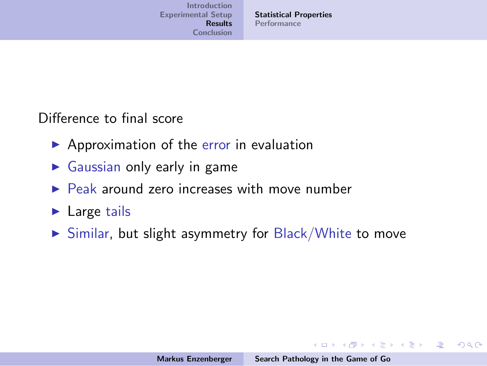[Statistical Properties](#page-10-0) [Performance](#page-18-0)

Difference to final score

- $\blacktriangleright$  Approximation of the error in evaluation
- $\triangleright$  Gaussian only early in game
- $\triangleright$  Peak around zero increases with move number
- $\blacktriangleright$  Large tails
- $\triangleright$  Similar, but slight asymmetry for Black/White to move

K ロ ▶ K @ ▶ K 글 ▶ K 글 ▶ → 글 → K) Q Q →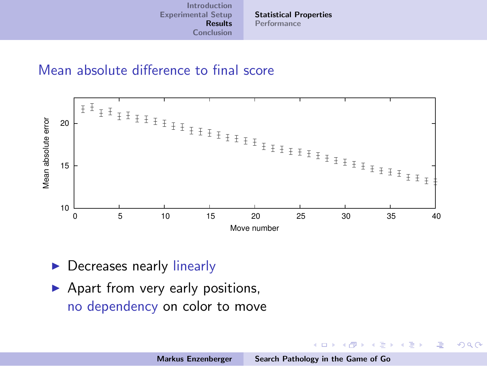[Statistical Properties](#page-10-0) [Performance](#page-18-0)

#### Mean absolute difference to final score



- $\triangleright$  Decreases nearly linearly
- $\blacktriangleright$  Apart from very early positions, no dependency on color to move

 $4.171 +$ 

A. 重 ×  $\equiv$ 

**In** 

哇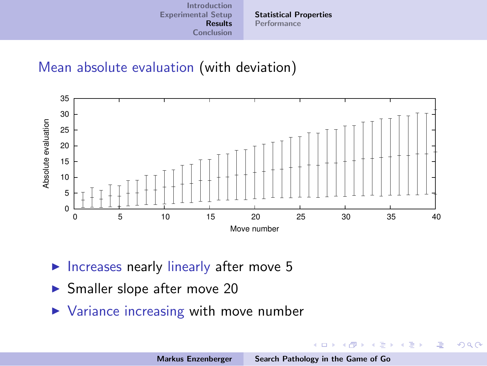[Statistical Properties](#page-10-0) [Performance](#page-18-0)

### Mean absolute evaluation (with deviation)



- $\triangleright$  Increases nearly linearly after move 5
- $\blacktriangleright$  Smaller slope after move 20
- $\triangleright$  Variance increasing with move number

a mills.

 $\mathcal{A}$  and  $\mathcal{A}$  in  $\mathcal{A}$  . If  $\mathcal{A}$ 

 $\lambda$  =  $\lambda$ 

哇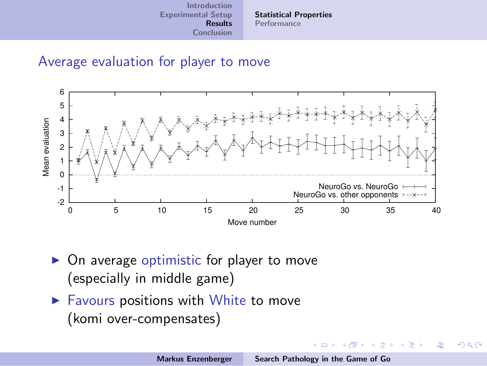[Statistical Properties](#page-10-0) [Performance](#page-18-0)

#### Average evaluation for player to move



- $\triangleright$  On average optimistic for player to move (especially in middle game)
- $\blacktriangleright$  Favours positions with White to move (komi over-compensates)

K ロ ⊁ K 倒 ≯ K ミ ⊁ K ミ ⊁

<span id="page-16-0"></span>へのへ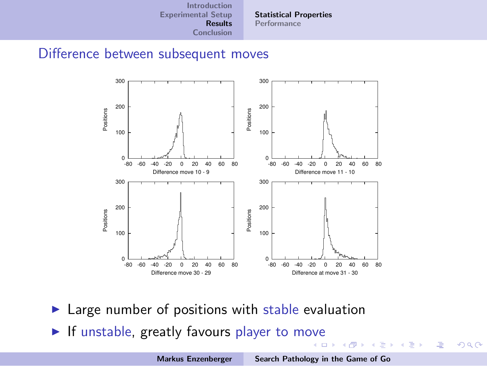[Statistical Properties](#page-10-0) [Performance](#page-18-0)

#### Difference between subsequent moves



- $\blacktriangleright$  Large number of positions with stable evaluation
- $\blacktriangleright$  If unstable, greatly favours player to m[ove](#page-16-0) **K ロ メ イ団 メ ス ミ メ ス ミ メ**

重

 $2Q$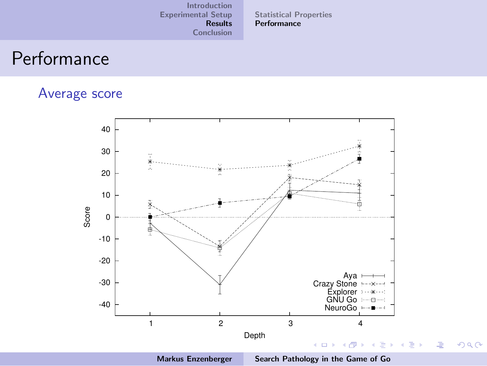[Statistical Properties](#page-10-0) **[Performance](#page-18-0)** 

## Performance

#### Average score



<span id="page-18-0"></span>

Markus Enzenberger [Search Pathology in the Game of Go](#page-0-0)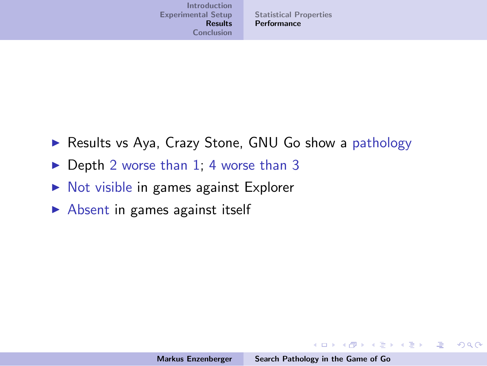- ▶ Results vs Aya, Crazy Stone, GNU Go show a pathology
- $\triangleright$  Depth 2 worse than 1; 4 worse than 3
- $\triangleright$  Not visible in games against Explorer
- $\triangleright$  Absent in games against itself

イロン イ団ン イミン イモンド 走